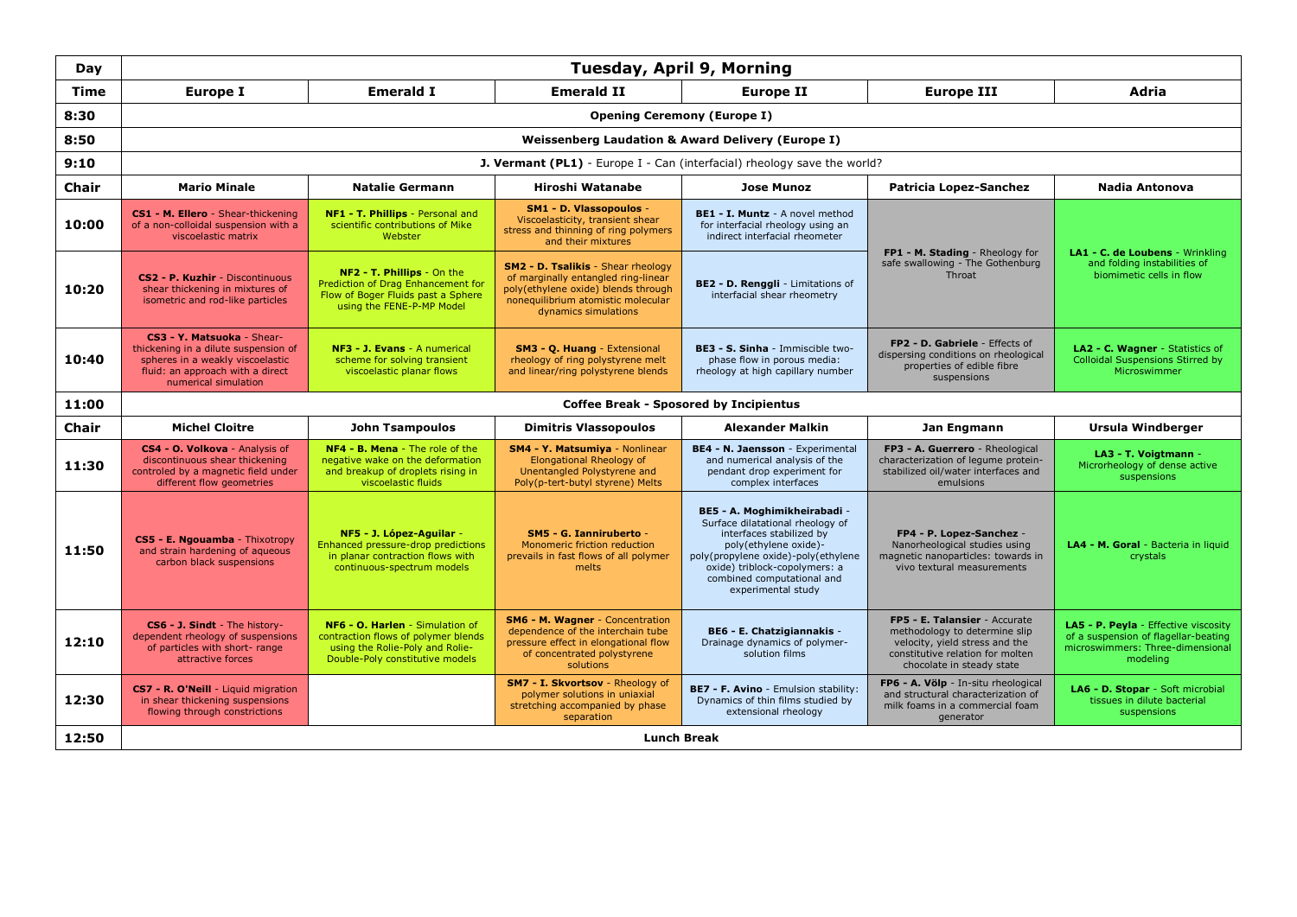| Day          | Tuesday, April 9, Morning                                                                                                                                          |                                                                                                                                              |                                                                                                                                                                                       |                                                                                                                                                                                                                                                   |                                                                                                                                                                   |                                                                                                                              |  |
|--------------|--------------------------------------------------------------------------------------------------------------------------------------------------------------------|----------------------------------------------------------------------------------------------------------------------------------------------|---------------------------------------------------------------------------------------------------------------------------------------------------------------------------------------|---------------------------------------------------------------------------------------------------------------------------------------------------------------------------------------------------------------------------------------------------|-------------------------------------------------------------------------------------------------------------------------------------------------------------------|------------------------------------------------------------------------------------------------------------------------------|--|
| Time         | <b>Europe I</b>                                                                                                                                                    | <b>Emerald I</b>                                                                                                                             | <b>Emerald II</b>                                                                                                                                                                     | <b>Europe II</b>                                                                                                                                                                                                                                  | <b>Europe III</b>                                                                                                                                                 | Adria                                                                                                                        |  |
| 8:30         | <b>Opening Ceremony (Europe I)</b>                                                                                                                                 |                                                                                                                                              |                                                                                                                                                                                       |                                                                                                                                                                                                                                                   |                                                                                                                                                                   |                                                                                                                              |  |
| 8:50         | <b>Weissenberg Laudation &amp; Award Delivery (Europe I)</b>                                                                                                       |                                                                                                                                              |                                                                                                                                                                                       |                                                                                                                                                                                                                                                   |                                                                                                                                                                   |                                                                                                                              |  |
| 9:10         | <b>J. Vermant (PL1)</b> - Europe I - Can (interfacial) rheology save the world?                                                                                    |                                                                                                                                              |                                                                                                                                                                                       |                                                                                                                                                                                                                                                   |                                                                                                                                                                   |                                                                                                                              |  |
| Chair        | <b>Mario Minale</b>                                                                                                                                                | <b>Natalie Germann</b>                                                                                                                       | Hiroshi Watanabe                                                                                                                                                                      | <b>Jose Munoz</b>                                                                                                                                                                                                                                 | <b>Patricia Lopez-Sanchez</b>                                                                                                                                     | <b>Nadia Antonova</b>                                                                                                        |  |
| 10:00        | CS1 - M. Ellero - Shear-thickening<br>of a non-colloidal suspension with a<br>viscoelastic matrix                                                                  | NF1 - T. Phillips - Personal and<br>scientific contributions of Mike<br>Webster                                                              | SM1 - D. Vlassopoulos -<br>Viscoelasticity, transient shear<br>stress and thinning of ring polymers<br>and their mixtures                                                             | BE1 - I. Muntz - A novel method<br>for interfacial rheology using an<br>indirect interfacial rheometer                                                                                                                                            | FP1 - M. Stading - Rheology for                                                                                                                                   | LA1 - C. de Loubens - Wrinkling<br>and folding instabilities of<br>biomimetic cells in flow                                  |  |
| 10:20        | CS2 - P. Kuzhir - Discontinuous<br>shear thickening in mixtures of<br>isometric and rod-like particles                                                             | NF2 - T. Phillips - On the<br>Prediction of Drag Enhancement for<br>Flow of Boger Fluids past a Sphere<br>using the FENE-P-MP Model          | <b>SM2 - D. Tsalikis - Shear rheology</b><br>of marginally entangled ring-linear<br>poly(ethylene oxide) blends through<br>nonequilibrium atomistic molecular<br>dynamics simulations | BE2 - D. Renggli - Limitations of<br>interfacial shear rheometry                                                                                                                                                                                  | safe swallowing - The Gothenburg<br>Throat                                                                                                                        |                                                                                                                              |  |
| 10:40        | CS3 - Y. Matsuoka - Shear-<br>thickening in a dilute suspension of<br>spheres in a weakly viscoelastic<br>fluid: an approach with a direct<br>numerical simulation | NF3 - J. Evans - A numerical<br>scheme for solving transient<br>viscoelastic planar flows                                                    | SM3 - Q. Huang - Extensional<br>rheology of ring polystyrene melt<br>and linear/ring polystyrene blends                                                                               | BE3 - S. Sinha - Immiscible two-<br>phase flow in porous media:<br>rheology at high capillary number                                                                                                                                              | FP2 - D. Gabriele - Effects of<br>dispersing conditions on rheological<br>properties of edible fibre<br>suspensions                                               | LA2 - C. Wagner - Statistics of<br><b>Colloidal Suspensions Stirred by</b><br>Microswimmer                                   |  |
| 11:00        |                                                                                                                                                                    |                                                                                                                                              |                                                                                                                                                                                       | <b>Coffee Break - Sposored by Incipientus</b>                                                                                                                                                                                                     |                                                                                                                                                                   |                                                                                                                              |  |
| <b>Chair</b> | <b>Michel Cloitre</b>                                                                                                                                              | <b>John Tsampoulos</b>                                                                                                                       | <b>Dimitris Vlassopoulos</b>                                                                                                                                                          | <b>Alexander Malkin</b>                                                                                                                                                                                                                           | Jan Engmann                                                                                                                                                       | <b>Ursula Windberger</b>                                                                                                     |  |
| 11:30        | CS4 - O. Volkova - Analysis of<br>discontinuous shear thickening<br>controled by a magnetic field under<br>different flow geometries                               | <b>NF4 - B. Mena</b> - The role of the<br>negative wake on the deformation<br>and breakup of droplets rising in<br>viscoelastic fluids       | <b>SM4 - Y. Matsumiya - Nonlinear</b><br><b>Elongational Rheology of</b><br>Unentangled Polystyrene and<br>Poly(p-tert-butyl styrene) Melts                                           | BE4 - N. Jaensson - Experimental<br>and numerical analysis of the<br>pendant drop experiment for<br>complex interfaces                                                                                                                            | FP3 - A. Guerrero - Rheological<br>characterization of legume protein-<br>stabilized oil/water interfaces and<br>emulsions                                        | LA3 - T. Voigtmann -<br>Microrheology of dense active<br>suspensions                                                         |  |
| 11:50        | CS5 - E. Ngouamba - Thixotropy<br>and strain hardening of aqueous<br>carbon black suspensions                                                                      | NF5 - J. López-Aquilar -<br>Enhanced pressure-drop predictions<br>in planar contraction flows with<br>continuous-spectrum models             | SM5 - G. Ianniruberto -<br>Monomeric friction reduction<br>prevails in fast flows of all polymer<br>melts                                                                             | BE5 - A. Moghimikheirabadi -<br>Surface dilatational rheology of<br>interfaces stabilized by<br>poly(ethylene oxide)-<br>poly(propylene oxide)-poly(ethylene<br>oxide) triblock-copolymers: a<br>combined computational and<br>experimental study | FP4 - P. Lopez-Sanchez -<br>Nanorheological studies using<br>magnetic nanoparticles: towards in<br>vivo textural measurements                                     | LA4 - M. Goral - Bacteria in liquid<br>crystals                                                                              |  |
| 12:10        | CS6 - J. Sindt - The history-<br>dependent rheology of suspensions<br>of particles with short- range<br>attractive forces                                          | NF6 - O. Harlen - Simulation of<br>contraction flows of polymer blends<br>using the Rolie-Poly and Rolie-<br>Double-Poly constitutive models | <b>SM6 - M. Wagner - Concentration</b><br>dependence of the interchain tube<br>pressure effect in elongational flow<br>of concentrated polystyrene<br>solutions                       | BE6 - E. Chatzigiannakis -<br>Drainage dynamics of polymer-<br>solution films                                                                                                                                                                     | FP5 - E. Talansier - Accurate<br>methodology to determine slip<br>velocity, yield stress and the<br>constitutive relation for molten<br>chocolate in steady state | LA5 - P. Peyla - Effective viscosity<br>of a suspension of flagellar-beating<br>microswimmers: Three-dimensional<br>modeling |  |
| 12:30        | CS7 - R. O'Neill - Liquid migration<br>in shear thickening suspensions<br>flowing through constrictions                                                            |                                                                                                                                              | SM7 - I. Skvortsov - Rheology of<br>polymer solutions in uniaxial<br>stretching accompanied by phase<br>separation                                                                    | BE7 - F. Avino - Emulsion stability:<br>Dynamics of thin films studied by<br>extensional rheology                                                                                                                                                 | FP6 - A. Völp - In-situ rheological<br>and structural characterization of<br>milk foams in a commercial foam<br>generator                                         | LA6 - D. Stopar - Soft microbial<br>tissues in dilute bacterial<br>suspensions                                               |  |
| 12:50        | <b>Lunch Break</b>                                                                                                                                                 |                                                                                                                                              |                                                                                                                                                                                       |                                                                                                                                                                                                                                                   |                                                                                                                                                                   |                                                                                                                              |  |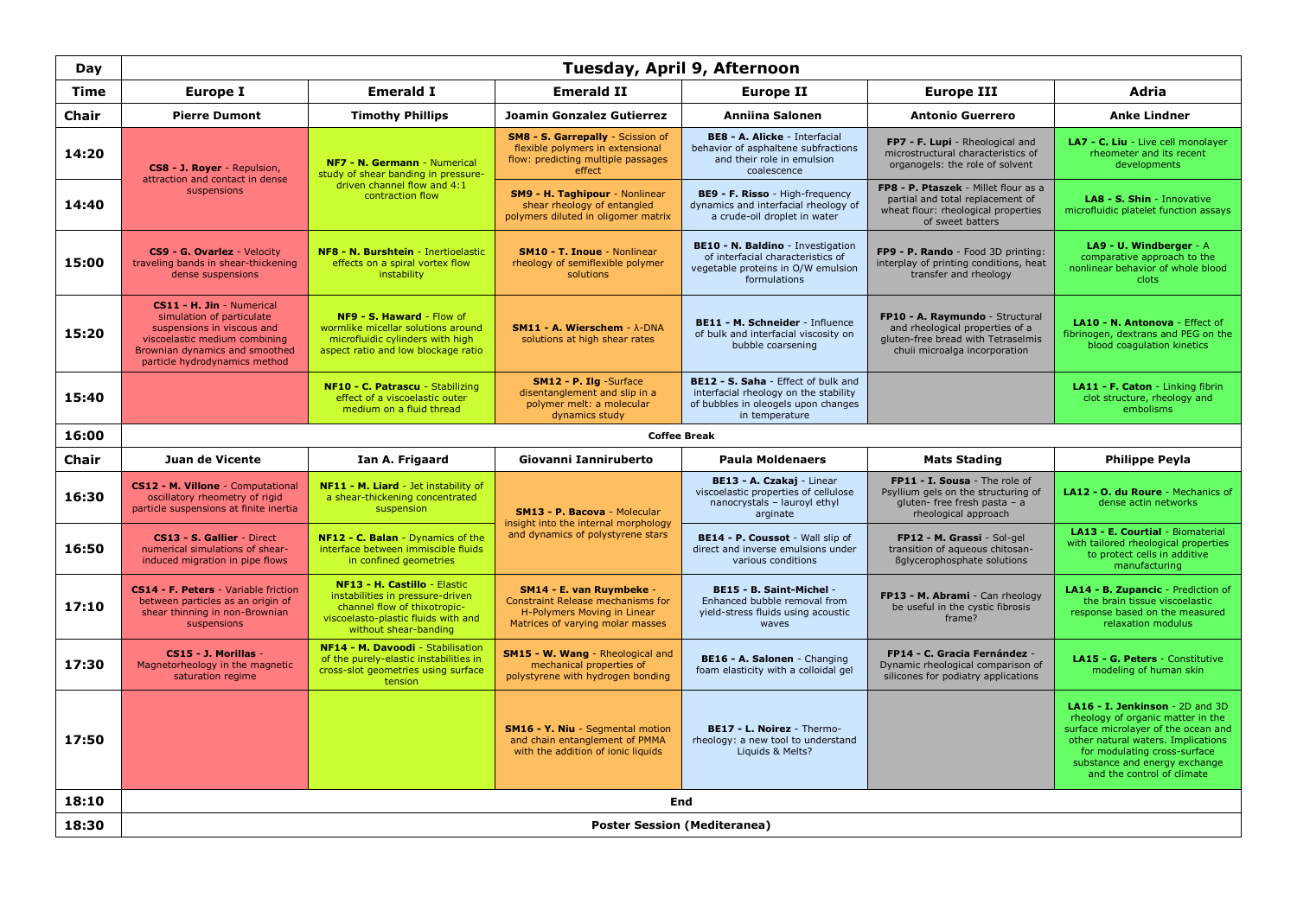| Day          | Tuesday, April 9, Afternoon                                                                                                                                                              |                                                                                                                                                                  |                                                                                                                                  |                                                                                                                                       |                                                                                                                                           |                                                                                                                                                                                                                                                  |  |  |  |  |
|--------------|------------------------------------------------------------------------------------------------------------------------------------------------------------------------------------------|------------------------------------------------------------------------------------------------------------------------------------------------------------------|----------------------------------------------------------------------------------------------------------------------------------|---------------------------------------------------------------------------------------------------------------------------------------|-------------------------------------------------------------------------------------------------------------------------------------------|--------------------------------------------------------------------------------------------------------------------------------------------------------------------------------------------------------------------------------------------------|--|--|--|--|
| Time         | Europe I                                                                                                                                                                                 | <b>Emerald I</b>                                                                                                                                                 | <b>Emerald II</b>                                                                                                                | <b>Europe II</b>                                                                                                                      | <b>Europe III</b>                                                                                                                         | Adria                                                                                                                                                                                                                                            |  |  |  |  |
| Chair        | <b>Pierre Dumont</b>                                                                                                                                                                     | <b>Timothy Phillips</b>                                                                                                                                          | Joamin Gonzalez Gutierrez                                                                                                        | <b>Anniina Salonen</b>                                                                                                                | <b>Antonio Guerrero</b>                                                                                                                   | <b>Anke Lindner</b>                                                                                                                                                                                                                              |  |  |  |  |
| 14:20        | CS8 - J. Royer - Repulsion,<br>attraction and contact in dense                                                                                                                           | NF7 - N. Germann - Numerical<br>study of shear banding in pressure-                                                                                              | SM8 - S. Garrepally - Scission of<br>flexible polymers in extensional<br>flow: predicting multiple passages<br>effect            | <b>BE8 - A. Alicke - Interfacial</b><br>behavior of asphaltene subfractions<br>and their role in emulsion<br>coalescence              | FP7 - F. Lupi - Rheological and<br>microstructural characteristics of<br>organogels: the role of solvent                                  | LA7 - C. Liu - Live cell monolayer<br>rheometer and its recent<br>developments                                                                                                                                                                   |  |  |  |  |
| 14:40        | suspensions                                                                                                                                                                              | driven channel flow and 4:1<br>contraction flow                                                                                                                  | SM9 - H. Taghipour - Nonlinear<br>shear rheology of entangled<br>polymers diluted in oligomer matrix                             | BE9 - F. Risso - High-frequency<br>dynamics and interfacial rheology of<br>a crude-oil droplet in water                               | FP8 - P. Ptaszek - Millet flour as a<br>partial and total replacement of<br>wheat flour: rheological properties<br>of sweet batters       | LA8 - S. Shin - Innovative<br>microfluidic platelet function assays                                                                                                                                                                              |  |  |  |  |
| 15:00        | CS9 - G. Ovarlez - Velocity<br>traveling bands in shear-thickening<br>dense suspensions                                                                                                  | NF8 - N. Burshtein - Inertioelastic<br>effects on a spiral vortex flow<br>instability                                                                            | <b>SM10 - T. Inoue - Nonlinear</b><br>rheology of semiflexible polymer<br>solutions                                              | BE10 - N. Baldino - Investigation<br>of interfacial characteristics of<br>vegetable proteins in O/W emulsion<br>formulations          | FP9 - P. Rando - Food 3D printing:<br>interplay of printing conditions, heat<br>transfer and rheology                                     | LA9 - U. Windberger - A<br>comparative approach to the<br>nonlinear behavior of whole blood<br>clots                                                                                                                                             |  |  |  |  |
| 15:20        | CS11 - H. Jin - Numerical<br>simulation of particulate<br>suspensions in viscous and<br>viscoelastic medium combining<br>Brownian dynamics and smoothed<br>particle hydrodynamics method | NF9 - S. Haward - Flow of<br>wormlike micellar solutions around<br>microfluidic cylinders with high<br>aspect ratio and low blockage ratio                       | SM11 - A. Wierschem - $\lambda$ -DNA<br>solutions at high shear rates                                                            | BE11 - M. Schneider - Influence<br>of bulk and interfacial viscosity on<br>bubble coarsening                                          | FP10 - A. Raymundo - Structural<br>and rheological properties of a<br>gluten-free bread with Tetraselmis<br>chuii microalga incorporation | LA10 - N. Antonova - Effect of<br>fibrinogen, dextrans and PEG on the<br>blood coagulation kinetics                                                                                                                                              |  |  |  |  |
| 15:40        |                                                                                                                                                                                          | NF10 - C. Patrascu - Stabilizing<br>effect of a viscoelastic outer<br>medium on a fluid thread                                                                   | SM12 - P. Ilg -Surface<br>disentanglement and slip in a<br>polymer melt: a molecular<br>dynamics study                           | BE12 - S. Saha - Effect of bulk and<br>interfacial rheology on the stability<br>of bubbles in oleogels upon changes<br>in temperature |                                                                                                                                           | LA11 - F. Caton - Linking fibrin<br>clot structure, rheology and<br>embolisms                                                                                                                                                                    |  |  |  |  |
| 16:00        |                                                                                                                                                                                          |                                                                                                                                                                  |                                                                                                                                  | <b>Coffee Break</b>                                                                                                                   |                                                                                                                                           |                                                                                                                                                                                                                                                  |  |  |  |  |
|              |                                                                                                                                                                                          |                                                                                                                                                                  |                                                                                                                                  |                                                                                                                                       |                                                                                                                                           |                                                                                                                                                                                                                                                  |  |  |  |  |
| <b>Chair</b> | <b>Juan de Vicente</b>                                                                                                                                                                   | Ian A. Frigaard                                                                                                                                                  | Giovanni Ianniruberto                                                                                                            | <b>Paula Moldenaers</b>                                                                                                               | <b>Mats Stading</b>                                                                                                                       | <b>Philippe Peyla</b>                                                                                                                                                                                                                            |  |  |  |  |
| 16:30        | CS12 - M. Villone - Computational<br>oscillatory rheometry of rigid<br>particle suspensions at finite inertia                                                                            | NF11 - M. Liard - Jet instability of<br>a shear-thickening concentrated<br>suspension                                                                            | <b>SM13 - P. Bacova - Molecular</b>                                                                                              | BE13 - A. Czakaj - Linear<br>viscoelastic properties of cellulose<br>nanocrystals - lauroyl ethyl<br>arginate                         | FP11 - I. Sousa - The role of<br>Psyllium gels on the structuring of<br>gluten- free fresh pasta - a<br>rheological approach              | LA12 - O. du Roure - Mechanics of<br>dense actin networks                                                                                                                                                                                        |  |  |  |  |
| 16:50        | CS13 - S. Gallier - Direct<br>numerical simulations of shear-<br>induced migration in pipe flows                                                                                         | NF12 - C. Balan - Dynamics of the<br>interface between immiscible fluids<br>in confined geometries                                                               | insight into the internal morphology<br>and dynamics of polystyrene stars                                                        | <b>BE14 - P. Coussot</b> - Wall slip of<br>direct and inverse emulsions under<br>various conditions                                   | FP12 - M. Grassi - Sol-gel<br>transition of aqueous chitosan-<br>Bglycerophosphate solutions                                              | LA13 - E. Courtial - Biomaterial<br>with tailored rheological properties<br>to protect cells in additive<br>manufacturing                                                                                                                        |  |  |  |  |
| 17:10        | CS14 - F. Peters - Variable friction<br>between particles as an origin of<br>shear thinning in non-Brownian<br>suspensions                                                               | NF13 - H. Castillo - Elastic<br>instabilities in pressure-driven<br>channel flow of thixotropic-<br>viscoelasto-plastic fluids with and<br>without shear-banding | SM14 - E. van Ruymbeke -<br>Constraint Release mechanisms for<br>H-Polymers Moving in Linear<br>Matrices of varying molar masses | BE15 - B. Saint-Michel -<br>Enhanced bubble removal from<br>yield-stress fluids using acoustic<br>waves                               | FP13 - M. Abrami - Can rheology<br>be useful in the cystic fibrosis<br>frame?                                                             | LA14 - B. Zupancic - Prediction of<br>the brain tissue viscoelastic.<br>response based on the measured<br>relaxation modulus                                                                                                                     |  |  |  |  |
| 17:30        | CS15 - J. Morillas -<br>Magnetorheology in the magnetic<br>saturation regime                                                                                                             | NF14 - M. Davoodi - Stabilisation<br>of the purely-elastic instabilities in<br>cross-slot geometries using surface<br>tension                                    | SM15 - W. Wang - Rheological and<br>mechanical properties of<br>polystyrene with hydrogen bonding                                | BE16 - A. Salonen - Changing<br>foam elasticity with a colloidal gel                                                                  | FP14 - C. Gracia Fernández -<br>Dynamic rheological comparison of<br>silicones for podiatry applications                                  | LA15 - G. Peters - Constitutive<br>modeling of human skin                                                                                                                                                                                        |  |  |  |  |
| 17:50        |                                                                                                                                                                                          |                                                                                                                                                                  | <b>SM16 - Y. Niu - Segmental motion</b><br>and chain entanglement of PMMA<br>with the addition of ionic liquids                  | BE17 - L. Noirez - Thermo-<br>rheology: a new tool to understand<br>Liquids & Melts?                                                  |                                                                                                                                           | LA16 - I. Jenkinson - 2D and 3D<br>rheology of organic matter in the<br>surface microlayer of the ocean and<br>other natural waters. Implications<br>for modulating cross-surface<br>substance and energy exchange<br>and the control of climate |  |  |  |  |
| 18:10        |                                                                                                                                                                                          |                                                                                                                                                                  |                                                                                                                                  | <b>End</b>                                                                                                                            |                                                                                                                                           |                                                                                                                                                                                                                                                  |  |  |  |  |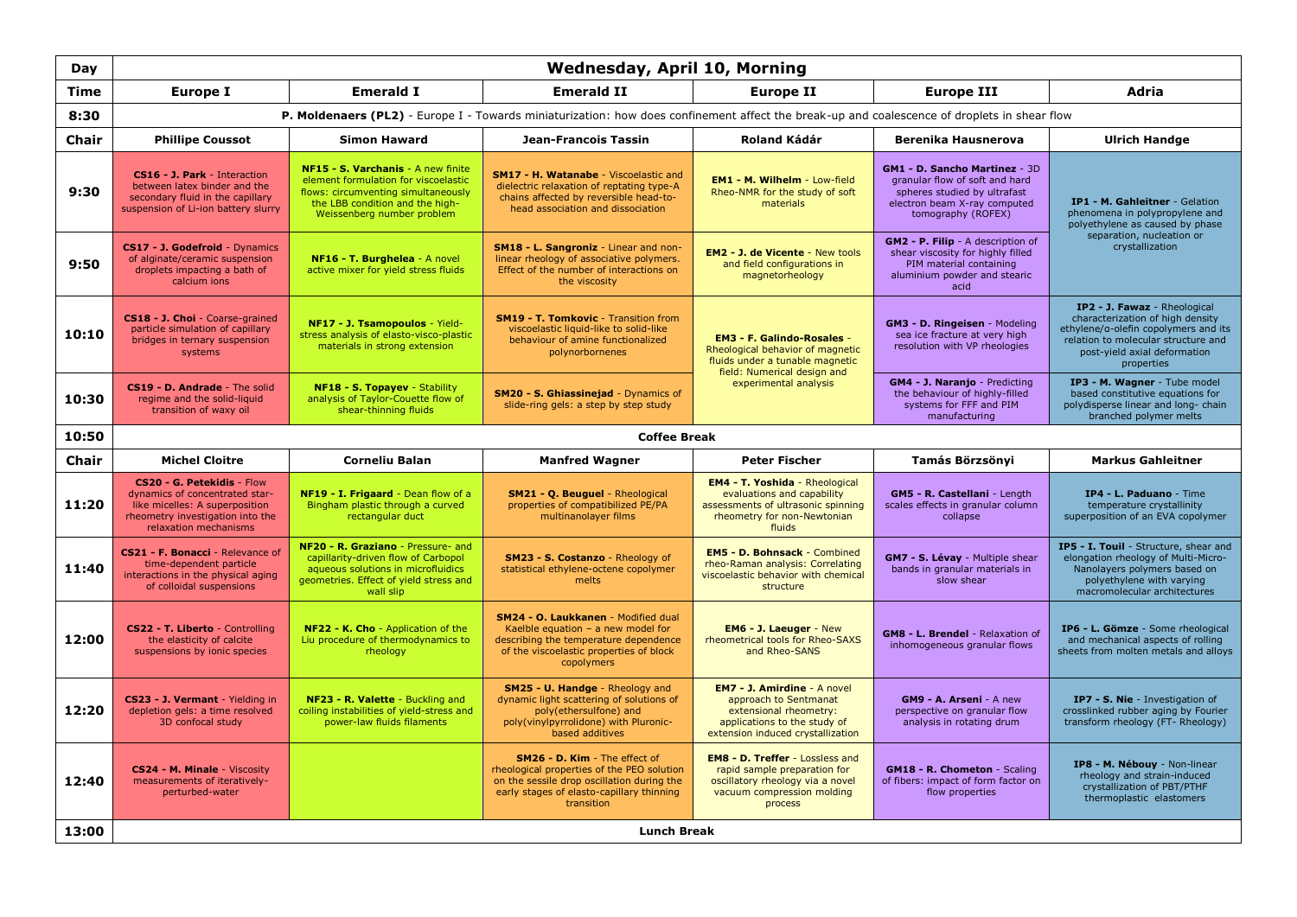| Day          | <b>Wednesday, April 10, Morning</b>                                                                                                                         |                                                                                                                                                                                    |                                                                                                                                                                                      |                                                                                                                                                            |                                                                                                                                                              |                                                                                                                                                                                                      |  |
|--------------|-------------------------------------------------------------------------------------------------------------------------------------------------------------|------------------------------------------------------------------------------------------------------------------------------------------------------------------------------------|--------------------------------------------------------------------------------------------------------------------------------------------------------------------------------------|------------------------------------------------------------------------------------------------------------------------------------------------------------|--------------------------------------------------------------------------------------------------------------------------------------------------------------|------------------------------------------------------------------------------------------------------------------------------------------------------------------------------------------------------|--|
| Time         | Europe I                                                                                                                                                    | <b>Emerald I</b>                                                                                                                                                                   | <b>Emerald II</b>                                                                                                                                                                    | <b>Europe II</b>                                                                                                                                           | <b>Europe III</b>                                                                                                                                            | <b>Adria</b>                                                                                                                                                                                         |  |
| 8:30         | P. Moldenaers (PL2) - Europe I - Towards miniaturization: how does confinement affect the break-up and coalescence of droplets in shear flow                |                                                                                                                                                                                    |                                                                                                                                                                                      |                                                                                                                                                            |                                                                                                                                                              |                                                                                                                                                                                                      |  |
| <b>Chair</b> | <b>Phillipe Coussot</b>                                                                                                                                     | <b>Simon Haward</b>                                                                                                                                                                | <b>Jean-Francois Tassin</b>                                                                                                                                                          | Roland Kádár                                                                                                                                               | Berenika Hausnerova                                                                                                                                          | <b>Ulrich Handge</b>                                                                                                                                                                                 |  |
| 9:30         | CS16 - J. Park - Interaction<br>between latex binder and the<br>secondary fluid in the capillary<br>suspension of Li-ion battery slurry                     | NF15 - S. Varchanis - A new finite<br>element formulation for viscoelastic<br>flows: circumventing simultaneously<br>the LBB condition and the high-<br>Weissenberg number problem | <b>SM17 - H. Watanabe - Viscoelastic and</b><br>dielectric relaxation of reptating type-A<br>chains affected by reversible head-to-<br>head association and dissociation             | EM1 - M. Wilhelm - Low-field<br>Rheo-NMR for the study of soft<br>materials                                                                                | <b>GM1 - D. Sancho Martinez - 3D</b><br>granular flow of soft and hard<br>spheres studied by ultrafast<br>electron beam X-ray computed<br>tomography (ROFEX) | IP1 - M. Gahleitner - Gelation<br>phenomena in polypropylene and<br>polyethylene as caused by phase                                                                                                  |  |
| 9:50         | CS17 - J. Godefroid - Dynamics<br>of alginate/ceramic suspension<br>droplets impacting a bath of<br>calcium ions                                            | NF16 - T. Burghelea - A novel<br>active mixer for yield stress fluids                                                                                                              | SM18 - L. Sangroniz - Linear and non-<br>linear rheology of associative polymers.<br>Effect of the number of interactions on<br>the viscosity                                        | <b>EM2 - J. de Vicente - New tools</b><br>and field configurations in<br>magnetorheology                                                                   | GM2 - P. Filip - A description of<br>shear viscosity for highly filled<br>PIM material containing<br>aluminium powder and stearic<br>acid                    | separation, nucleation or<br>crystallization                                                                                                                                                         |  |
| 10:10        | CS18 - J. Choi - Coarse-grained<br>particle simulation of capillary<br>bridges in ternary suspension<br>systems                                             | NF17 - J. Tsamopoulos - Yield-<br>stress analysis of elasto-visco-plastic<br>materials in strong extension                                                                         | <b>SM19 - T. Tomkovic - Transition from</b><br>viscoelastic liquid-like to solid-like<br>behaviour of amine functionalized<br>polynorbornenes                                        | <b>EM3 - F. Galindo-Rosales -</b><br>Rheological behavior of magnetic<br>fluids under a tunable magnetic<br>field: Numerical design and                    | GM3 - D. Ringeisen - Modeling<br>sea ice fracture at very high<br>resolution with VP rheologies                                                              | <b>IP2 - J. Fawaz - Rheological</b><br>characterization of high density<br>ethylene/a-olefin copolymers and its<br>relation to molecular structure and<br>post-yield axial deformation<br>properties |  |
| 10:30        | CS19 - D. Andrade - The solid<br>regime and the solid-liquid<br>transition of waxy oil                                                                      | NF18 - S. Topayev - Stability<br>analysis of Taylor-Couette flow of<br>shear-thinning fluids                                                                                       | SM20 - S. Ghiassinejad - Dynamics of<br>slide-ring gels: a step by step study                                                                                                        | experimental analysis                                                                                                                                      | GM4 - J. Naranjo - Predicting<br>the behaviour of highly-filled<br>systems for FFF and PIM<br>manufacturing                                                  | IP3 - M. Wagner - Tube model<br>based constitutive equations for<br>polydisperse linear and long- chain<br>branched polymer melts                                                                    |  |
| 10:50        |                                                                                                                                                             |                                                                                                                                                                                    | <b>Coffee Break</b>                                                                                                                                                                  |                                                                                                                                                            |                                                                                                                                                              |                                                                                                                                                                                                      |  |
| <b>Chair</b> | <b>Michel Cloitre</b>                                                                                                                                       | <b>Corneliu Balan</b>                                                                                                                                                              | <b>Manfred Wagner</b>                                                                                                                                                                | <b>Peter Fischer</b>                                                                                                                                       | Tamás Börzsönyi                                                                                                                                              |                                                                                                                                                                                                      |  |
|              |                                                                                                                                                             |                                                                                                                                                                                    |                                                                                                                                                                                      |                                                                                                                                                            |                                                                                                                                                              | <b>Markus Gahleitner</b>                                                                                                                                                                             |  |
| 11:20        | CS20 - G. Petekidis - Flow<br>dynamics of concentrated star-<br>like micelles: A superposition<br>rheometry investigation into the<br>relaxation mechanisms | NF19 - I. Frigaard - Dean flow of a<br>Bingham plastic through a curved<br>rectangular duct                                                                                        | SM21 - Q. Beuguel - Rheological<br>properties of compatibilized PE/PA<br>multinanolayer films                                                                                        | <b>EM4 - T. Yoshida - Rheological</b><br>evaluations and capability<br>assessments of ultrasonic spinning<br>rheometry for non-Newtonian<br>fluids         | GM5 - R. Castellani - Length<br>scales effects in granular column<br>collapse                                                                                | IP4 - L. Paduano - Time<br>temperature crystallinity<br>superposition of an EVA copolymer                                                                                                            |  |
| 11:40        | CS21 - F. Bonacci - Relevance of<br>time-dependent particle<br>interactions in the physical aging<br>of colloidal suspensions                               | NF20 - R. Graziano - Pressure- and<br>capillarity-driven flow of Carbopol<br>aqueous solutions in microfluidics<br>geometries. Effect of yield stress and<br>wall slip             | SM23 - S. Costanzo - Rheology of<br>statistical ethylene-octene copolymer<br>melts                                                                                                   | <b>EM5 - D. Bohnsack - Combined</b><br>rheo-Raman analysis: Correlating<br>viscoelastic behavior with chemical<br>structure                                | GM7 - S. Lévay - Multiple shear<br>bands in granular materials in<br>slow shear                                                                              | IP5 - I. Touil - Structure, shear and<br>elongation rheology of Multi-Micro-<br>Nanolayers polymers based on<br>polyethylene with varying<br>macromolecular architectures                            |  |
| 12:00        | CS22 - T. Liberto - Controlling<br>the elasticity of calcite<br>suspensions by ionic species                                                                | NF22 - K. Cho - Application of the<br>Liu procedure of thermodynamics to<br>rheology                                                                                               | SM24 - O. Laukkanen - Modified dual<br>Kaelble equation $-$ a new model for<br>describing the temperature dependence<br>of the viscoelastic properties of block<br>copolymers        | <b>EM6 - J. Laeuger - New</b><br>rheometrical tools for Rheo-SAXS<br>and Rheo-SANS                                                                         | GM8 - L. Brendel - Relaxation of<br>inhomogeneous granular flows                                                                                             | IP6 - L. Gömze - Some rheological<br>and mechanical aspects of rolling<br>sheets from molten metals and alloys                                                                                       |  |
| 12:20        | CS23 - J. Vermant - Yielding in<br>depletion gels: a time resolved<br>3D confocal study                                                                     | NF23 - R. Valette - Buckling and<br>coiling instabilities of yield-stress and<br>power-law fluids filaments                                                                        | <b>SM25 - U. Handge - Rheology and</b><br>dynamic light scattering of solutions of<br>poly(ethersulfone) and<br>poly(vinylpyrrolidone) with Pluronic-<br>based additives             | <b>EM7 - J. Amirdine - A novel</b><br>approach to Sentmanat<br>extensional rheometry:<br>applications to the study of<br>extension induced crystallization | GM9 - A. Arseni - A new<br>perspective on granular flow<br>analysis in rotating drum                                                                         | IP7 - S. Nie - Investigation of<br>crosslinked rubber aging by Fourier<br>transform rheology (FT- Rheology)                                                                                          |  |
| 12:40        | CS24 - M. Minale - Viscosity<br>measurements of iteratively-<br>perturbed-water                                                                             |                                                                                                                                                                                    | SM26 - D. Kim - The effect of<br>rheological properties of the PEO solution<br>on the sessile drop oscillation during the<br>early stages of elasto-capillary thinning<br>transition | <b>EM8 - D. Treffer - Lossless and</b><br>rapid sample preparation for<br>oscillatory rheology via a novel<br>vacuum compression molding<br>process        | <b>GM18 - R. Chometon - Scaling</b><br>of fibers: impact of form factor on<br>flow properties                                                                | IP8 - M. Nébouy - Non-linear<br>rheology and strain-induced<br>crystallization of PBT/PTHF<br>thermoplastic elastomers                                                                               |  |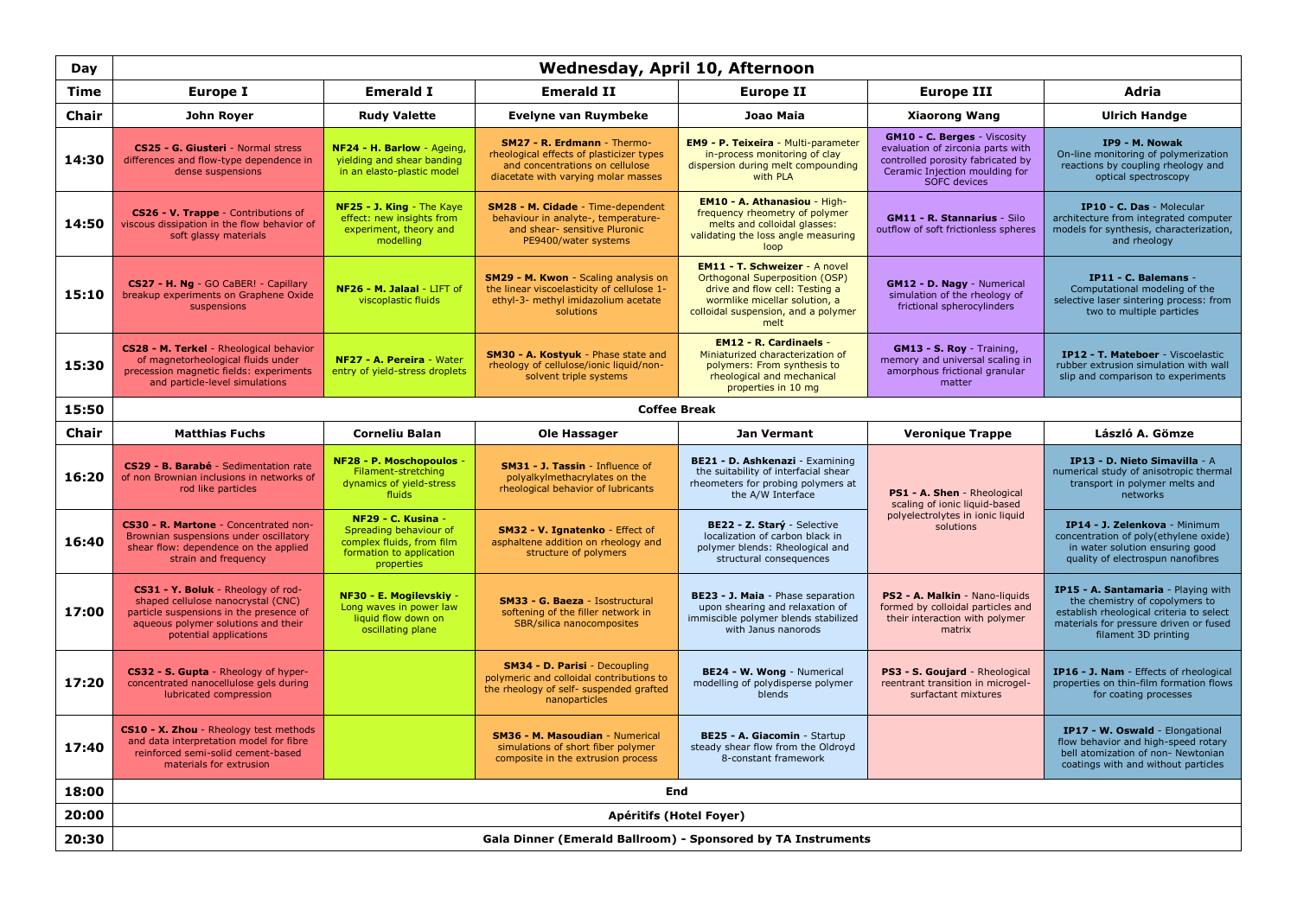| Day          | Wednesday, April 10, Afternoon                                                                                                                                                       |                                                                                                                     |                                                                                                                                                          |                                                                                                                                                                                          |                                                                                                                                                                        |                                                                                                                                                                                            |  |
|--------------|--------------------------------------------------------------------------------------------------------------------------------------------------------------------------------------|---------------------------------------------------------------------------------------------------------------------|----------------------------------------------------------------------------------------------------------------------------------------------------------|------------------------------------------------------------------------------------------------------------------------------------------------------------------------------------------|------------------------------------------------------------------------------------------------------------------------------------------------------------------------|--------------------------------------------------------------------------------------------------------------------------------------------------------------------------------------------|--|
| Time         | Europe I                                                                                                                                                                             | <b>Emerald I</b>                                                                                                    | <b>Emerald II</b>                                                                                                                                        | <b>Europe II</b>                                                                                                                                                                         | <b>Europe III</b>                                                                                                                                                      | Adria                                                                                                                                                                                      |  |
| Chair        | John Royer                                                                                                                                                                           | <b>Rudy Valette</b>                                                                                                 | <b>Evelyne van Ruymbeke</b>                                                                                                                              | Joao Maia                                                                                                                                                                                | <b>Xiaorong Wang</b>                                                                                                                                                   | <b>Ulrich Handge</b>                                                                                                                                                                       |  |
| 14:30        | CS25 - G. Giusteri - Normal stress<br>differences and flow-type dependence in<br>dense suspensions                                                                                   | NF24 - H. Barlow - Ageing,<br>yielding and shear banding<br>in an elasto-plastic model                              | <b>SM27 - R. Erdmann - Thermo-</b><br>rheological effects of plasticizer types<br>and concentrations on cellulose<br>diacetate with varying molar masses | <b>EM9 - P. Teixeira - Multi-parameter</b><br>in-process monitoring of clay<br>dispersion during melt compounding<br>with PLA                                                            | <b>GM10 - C. Berges - Viscosity</b><br>evaluation of zirconia parts with<br>controlled porosity fabricated by<br>Ceramic Injection moulding for<br><b>SOFC</b> devices | IP9 - M. Nowak<br>On-line monitoring of polymerization<br>reactions by coupling rheology and<br>optical spectroscopy                                                                       |  |
| 14:50        | CS26 - V. Trappe - Contributions of<br>viscous dissipation in the flow behavior of<br>soft glassy materials                                                                          | NF25 - J. King - The Kaye<br>effect: new insights from<br>experiment, theory and<br>modelling                       | SM28 - M. Cidade - Time-dependent<br>behaviour in analyte-, temperature-<br>and shear- sensitive Pluronic<br>PE9400/water systems                        | EM10 - A. Athanasiou - High-<br>frequency rheometry of polymer<br>melts and colloidal glasses:<br>validating the loss angle measuring<br>loop                                            | <b>GM11 - R. Stannarius - Silo</b><br>outflow of soft frictionless spheres                                                                                             | IP10 - C. Das - Molecular<br>architecture from integrated computer<br>models for synthesis, characterization,<br>and rheology                                                              |  |
| 15:10        | CS27 - H. Ng - GO CaBER! - Capillary<br>breakup experiments on Graphene Oxide<br>suspensions                                                                                         | NF26 - M. Jalaal - LIFT of<br>viscoplastic fluids                                                                   | SM29 - M. Kwon - Scaling analysis on<br>the linear viscoelasticity of cellulose 1-<br>ethyl-3- methyl imidazolium acetate<br>solutions                   | <b>EM11 - T. Schweizer - A novel</b><br>Orthogonal Superposition (OSP)<br>drive and flow cell: Testing a<br>wormlike micellar solution, a<br>colloidal suspension, and a polymer<br>melt | GM12 - D. Nagy - Numerical<br>simulation of the rheology of<br>frictional spherocylinders                                                                              | IP11 - C. Balemans -<br>Computational modeling of the<br>selective laser sintering process: from<br>two to multiple particles                                                              |  |
| 15:30        | CS28 - M. Terkel - Rheological behavior<br>of magnetorheological fluids under<br>precession magnetic fields: experiments<br>and particle-level simulations                           | NF27 - A. Pereira - Water<br>entry of yield-stress droplets                                                         | SM30 - A. Kostyuk - Phase state and<br>rheology of cellulose/ionic liquid/non-<br>solvent triple systems                                                 | <b>EM12 - R. Cardinaels -</b><br>Miniaturized characterization of<br>polymers: From synthesis to<br>rheological and mechanical<br>properties in 10 mg                                    | GM13 - S. Roy - Training,<br>memory and universal scaling in<br>amorphous frictional granular<br>matter                                                                | IP12 - T. Mateboer - Viscoelastic<br>rubber extrusion simulation with wall<br>slip and comparison to experiments                                                                           |  |
| 15:50        |                                                                                                                                                                                      |                                                                                                                     |                                                                                                                                                          | <b>Coffee Break</b>                                                                                                                                                                      |                                                                                                                                                                        |                                                                                                                                                                                            |  |
| <b>Chair</b> | <b>Matthias Fuchs</b>                                                                                                                                                                | <b>Corneliu Balan</b>                                                                                               | <b>Ole Hassager</b>                                                                                                                                      | Jan Vermant                                                                                                                                                                              | <b>Veronique Trappe</b>                                                                                                                                                | László A. Gömze                                                                                                                                                                            |  |
| 16:20        | CS29 - B. Barabé - Sedimentation rate<br>of non Brownian inclusions in networks of<br>rod like particles                                                                             | NF28 - P. Moschopoulos<br>Filament-stretching<br>dynamics of yield-stress<br>fluids                                 | SM31 - J. Tassin - Influence of<br>polyalkylmethacrylates on the<br>rheological behavior of lubricants                                                   | BE21 - D. Ashkenazi - Examining<br>the suitability of interfacial shear<br>rheometers for probing polymers at<br>the A/W Interface                                                       | PS1 - A. Shen - Rheological<br>scaling of ionic liquid-based                                                                                                           | IP13 - D. Nieto Simavilla - A<br>numerical study of anisotropic thermal<br>transport in polymer melts and<br>networks                                                                      |  |
| 16:40        | CS30 - R. Martone - Concentrated non-<br>Brownian suspensions under oscillatory<br>shear flow: dependence on the applied<br>strain and frequency                                     | NF29 - C. Kusina -<br>Spreading behaviour of<br>complex fluids, from film<br>formation to application<br>properties | SM32 - V. Ignatenko - Effect of<br>asphaltene addition on rheology and<br>structure of polymers                                                          | BE22 - Z. Starý - Selective<br>localization of carbon black in<br>polymer blends: Rheological and<br>structural consequences                                                             | polyelectrolytes in ionic liquid<br>solutions                                                                                                                          | IP14 - J. Zelenkova - Minimum<br>concentration of poly(ethylene oxide)<br>in water solution ensuring good<br>quality of electrospun nanofibres                                             |  |
| 17:00        | CS31 - Y. Boluk - Rheology of rod-<br>shaped cellulose nanocrystal (CNC)<br>particle suspensions in the presence of<br>aqueous polymer solutions and their<br>potential applications | NF30 - E. Mogilevskiy -<br>Long waves in power law<br>liquid flow down on<br>oscillating plane                      | SM33 - G. Baeza - Isostructural<br>softening of the filler network in<br>SBR/silica nanocomposites                                                       | BE23 - J. Maia - Phase separation<br>upon shearing and relaxation of<br>immiscible polymer blends stabilized<br>with Janus nanorods                                                      | PS2 - A. Malkin - Nano-liquids<br>formed by colloidal particles and<br>their interaction with polymer<br>matrix                                                        | <b>IP15 - A. Santamaria - Playing with</b><br>the chemistry of copolymers to<br>establish rheological criteria to select<br>materials for pressure driven or fused<br>filament 3D printing |  |
| 17:20        | CS32 - S. Gupta - Rheology of hyper-<br>concentrated nanocellulose gels during<br>lubricated compression                                                                             |                                                                                                                     | <b>SM34 - D. Parisi - Decoupling</b><br>polymeric and colloidal contributions to<br>the rheology of self- suspended grafted<br>nanoparticles             | BE24 - W. Wong - Numerical<br>modelling of polydisperse polymer<br>blends                                                                                                                | PS3 - S. Goujard - Rheological<br>reentrant transition in microgel-<br>surfactant mixtures                                                                             | IP16 - J. Nam - Effects of rheological<br>properties on thin-film formation flows<br>for coating processes                                                                                 |  |
| 17:40        | CS10 - X. Zhou - Rheology test methods<br>and data interpretation model for fibre<br>reinforced semi-solid cement-based<br>materials for extrusion                                   |                                                                                                                     | <b>SM36 - M. Masoudian - Numerical</b><br>simulations of short fiber polymer<br>composite in the extrusion process                                       | BE25 - A. Giacomin - Startup<br>steady shear flow from the Oldroyd<br>8-constant framework                                                                                               |                                                                                                                                                                        | IP17 - W. Oswald - Elongational<br>flow behavior and high-speed rotary<br>bell atomization of non- Newtonian<br>coatings with and without particles                                        |  |
| 18:00        |                                                                                                                                                                                      |                                                                                                                     | End                                                                                                                                                      |                                                                                                                                                                                          |                                                                                                                                                                        |                                                                                                                                                                                            |  |
| 20:00        |                                                                                                                                                                                      |                                                                                                                     | Apéritifs (Hotel Foyer)                                                                                                                                  |                                                                                                                                                                                          |                                                                                                                                                                        |                                                                                                                                                                                            |  |
| 20:30        | Gala Dinner (Emerald Ballroom) - Sponsored by TA Instruments                                                                                                                         |                                                                                                                     |                                                                                                                                                          |                                                                                                                                                                                          |                                                                                                                                                                        |                                                                                                                                                                                            |  |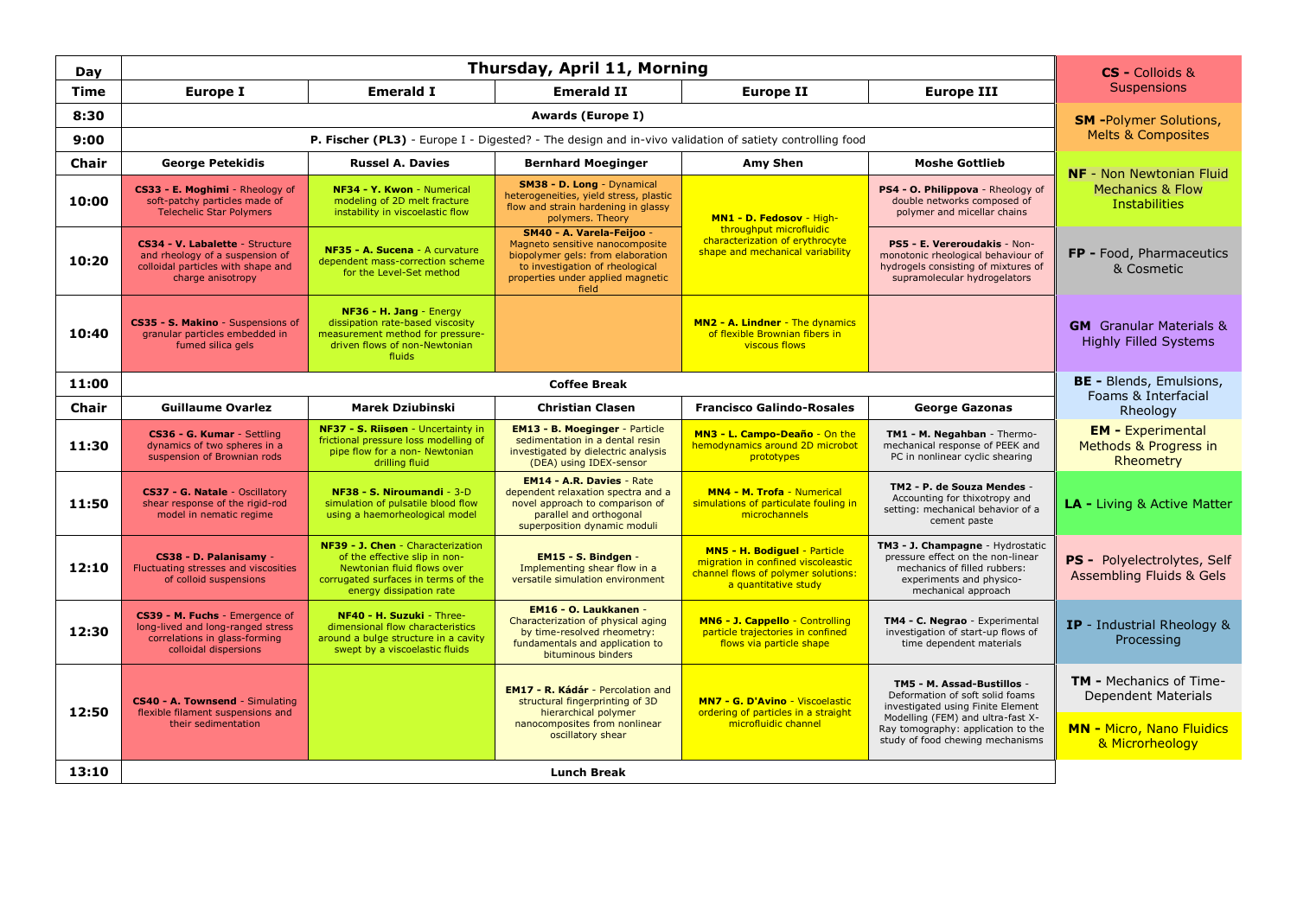| Day          | Thursday, April 11, Morning                                                                                                   |                                                                                                                                                                    |                                                                                                                                                                                    |                                                                                                                                          |                                                                                                                                                                                                                   | CS - Colloids &                                                                                              |
|--------------|-------------------------------------------------------------------------------------------------------------------------------|--------------------------------------------------------------------------------------------------------------------------------------------------------------------|------------------------------------------------------------------------------------------------------------------------------------------------------------------------------------|------------------------------------------------------------------------------------------------------------------------------------------|-------------------------------------------------------------------------------------------------------------------------------------------------------------------------------------------------------------------|--------------------------------------------------------------------------------------------------------------|
| Time         | <b>Europe I</b>                                                                                                               | <b>Emerald I</b>                                                                                                                                                   | <b>Emerald II</b>                                                                                                                                                                  | Europe II                                                                                                                                | <b>Europe III</b>                                                                                                                                                                                                 | <b>Suspensions</b>                                                                                           |
| 8:30         |                                                                                                                               | <b>SM</b> -Polymer Solutions,                                                                                                                                      |                                                                                                                                                                                    |                                                                                                                                          |                                                                                                                                                                                                                   |                                                                                                              |
| 9:00         |                                                                                                                               | <b>Melts &amp; Composites</b>                                                                                                                                      |                                                                                                                                                                                    |                                                                                                                                          |                                                                                                                                                                                                                   |                                                                                                              |
| <b>Chair</b> | <b>George Petekidis</b>                                                                                                       | <b>Russel A. Davies</b>                                                                                                                                            | <b>Bernhard Moeginger</b>                                                                                                                                                          | Amy Shen                                                                                                                                 | <b>NF</b> - Non Newtonian Fluid                                                                                                                                                                                   |                                                                                                              |
| 10:00        | CS33 - E. Moghimi - Rheology of<br>soft-patchy particles made of<br><b>Telechelic Star Polymers</b>                           | NF34 - Y. Kwon - Numerical<br>modeling of 2D melt fracture<br>instability in viscoelastic flow                                                                     | SM38 - D. Long - Dynamical<br>heterogeneities, yield stress, plastic<br>flow and strain hardening in glassy<br>polymers. Theory                                                    | MN1 - D. Fedosov - High-                                                                                                                 | PS4 - O. Philippova - Rheology of<br>double networks composed of<br>polymer and micellar chains                                                                                                                   | <b>Mechanics &amp; Flow</b><br><b>Instabilities</b>                                                          |
| 10:20        | CS34 - V. Labalette - Structure<br>and rheology of a suspension of<br>colloidal particles with shape and<br>charge anisotropy | NF35 - A. Sucena - A curvature<br>dependent mass-correction scheme<br>for the Level-Set method                                                                     | SM40 - A. Varela-Feijoo -<br>Magneto sensitive nanocomposite<br>biopolymer gels: from elaboration<br>to investigation of rheological<br>properties under applied magnetic<br>field | throughput microfluidic<br>characterization of erythrocyte<br>shape and mechanical variability                                           | PS5 - E. Vereroudakis - Non-<br>monotonic rheological behaviour of<br>hydrogels consisting of mixtures of<br>supramolecular hydrogelators                                                                         | FP - Food, Pharmaceutics<br>& Cosmetic                                                                       |
| 10:40        | CS35 - S. Makino - Suspensions of<br>granular particles embedded in<br>fumed silica gels                                      | NF36 - H. Jang - Energy<br>dissipation rate-based viscosity<br>measurement method for pressure-<br>driven flows of non-Newtonian<br>fluids                         |                                                                                                                                                                                    | MN2 - A. Lindner - The dynamics<br>of flexible Brownian fibers in<br><b>viscous flows</b>                                                |                                                                                                                                                                                                                   | <b>GM</b> Granular Materials &<br><b>Highly Filled Systems</b>                                               |
| 11:00        |                                                                                                                               |                                                                                                                                                                    | <b>BE - Blends, Emulsions,</b>                                                                                                                                                     |                                                                                                                                          |                                                                                                                                                                                                                   |                                                                                                              |
| <b>Chair</b> | <b>Guillaume Ovarlez</b>                                                                                                      | <b>Marek Dziubinski</b>                                                                                                                                            | <b>Christian Clasen</b>                                                                                                                                                            | <b>Francisco Galindo-Rosales</b>                                                                                                         | <b>George Gazonas</b>                                                                                                                                                                                             | Foams & Interfacial<br>Rheology                                                                              |
| 11:30        | CS36 - G. Kumar - Settling<br>dynamics of two spheres in a<br>suspension of Brownian rods                                     | NF37 - S. Riisøen - Uncertainty in<br>frictional pressure loss modelling of<br>pipe flow for a non- Newtonian<br>drilling fluid                                    | <b>EM13 - B. Moeginger - Particle</b><br>sedimentation in a dental resin<br>investigated by dielectric analysis<br>(DEA) using IDEX-sensor                                         | MN3 - L. Campo-Deaño - On the<br>hemodynamics around 2D microbot<br>prototypes                                                           | TM1 - M. Negahban - Thermo-<br>mechanical response of PEEK and<br>PC in nonlinear cyclic shearing                                                                                                                 | <b>EM</b> - Experimental<br>Methods & Progress in<br>Rheometry                                               |
| 11:50        | CS37 - G. Natale - Oscillatory<br>shear response of the rigid-rod<br>model in nematic regime                                  | NF38 - S. Niroumandi - 3-D<br>simulation of pulsatile blood flow<br>using a haemorheological model                                                                 | <b>EM14 - A.R. Davies - Rate</b><br>dependent relaxation spectra and a<br>novel approach to comparison of<br>parallel and orthogonal<br>superposition dynamic moduli               | <b>MN4 - M. Trofa - Numerical</b><br>simulations of particulate fouling in<br>microchannels                                              | TM2 - P. de Souza Mendes -<br>Accounting for thixotropy and<br>setting: mechanical behavior of a<br>cement paste                                                                                                  | <b>LA - Living &amp; Active Matter</b>                                                                       |
| 12:10        | CS38 - D. Palanisamy -<br>Fluctuating stresses and viscosities<br>of colloid suspensions                                      | NF39 - J. Chen - Characterization<br>of the effective slip in non-<br>Newtonian fluid flows over<br>corrugated surfaces in terms of the<br>energy dissipation rate | EM15 - S. Bindgen -<br>Implementing shear flow in a<br>versatile simulation environment                                                                                            | <b>MN5 - H. Bodiguel - Particle</b><br>migration in confined viscoleastic<br>channel flows of polymer solutions:<br>a quantitative study | TM3 - J. Champagne - Hydrostatic<br>pressure effect on the non-linear<br>mechanics of filled rubbers:<br>experiments and physico-<br>mechanical approach                                                          | PS - Polyelectrolytes, Self<br>Assembling Fluids & Gels                                                      |
| 12:30        | CS39 - M. Fuchs - Emergence of<br>long-lived and long-ranged stress<br>correlations in glass-forming<br>colloidal dispersions | NF40 - H. Suzuki - Three-<br>dimensional flow characteristics<br>around a bulge structure in a cavity<br>swept by a viscoelastic fluids                            | EM16 - O. Laukkanen -<br>Characterization of physical aging<br>by time-resolved rheometry:<br>fundamentals and application to<br>bituminous binders                                | MN6 - J. Cappello - Controlling<br>particle trajectories in confined<br>flows via particle shape                                         | TM4 - C. Negrao - Experimental<br>investigation of start-up flows of<br>time dependent materials                                                                                                                  | IP - Industrial Rheology &<br>Processing                                                                     |
| 12:50        | CS40 - A. Townsend - Simulating<br>flexible filament suspensions and<br>their sedimentation                                   |                                                                                                                                                                    | EM17 - R. Kádár - Percolation and<br>structural fingerprinting of 3D<br>hierarchical polymer<br>nanocomposites from nonlinear<br>oscillatory shear                                 | <b>MN7 - G. D'Avino - Viscoelastic</b><br>ordering of particles in a straight<br>microfluidic channel                                    | TM5 - M. Assad-Bustillos -<br>Deformation of soft solid foams<br>investigated using Finite Element<br>Modelling (FEM) and ultra-fast X-<br>Ray tomography: application to the<br>study of food chewing mechanisms | <b>TM - Mechanics of Time-</b><br>Dependent Materials<br><b>MN - Micro, Nano Fluidics</b><br>& Microrheology |
| 13:10        | <b>Lunch Break</b>                                                                                                            |                                                                                                                                                                    |                                                                                                                                                                                    |                                                                                                                                          |                                                                                                                                                                                                                   |                                                                                                              |